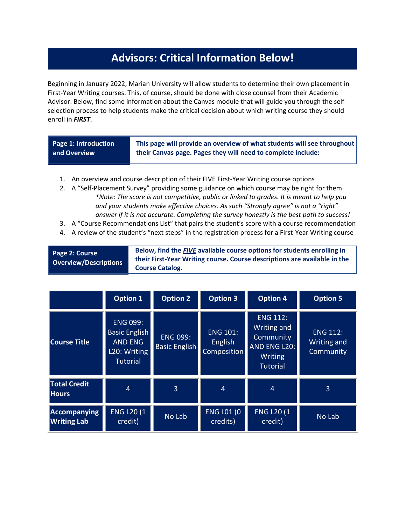## **Advisors: Critical Information Below!**

Beginning in January 2022, Marian University will allow students to determine their own placement in First-Year Writing courses. This, of course, should be done with close counsel from their Academic Advisor. Below, find some information about the Canvas module that will guide you through the selfselection process to help students make the critical decision about which writing course they should enroll in *FIRST*.

| Page 1: Introduction | This page will provide an overview of what students will see throughout |
|----------------------|-------------------------------------------------------------------------|
| and Overview         | their Canvas page. Pages they will need to complete include:            |
|                      |                                                                         |

- 1. An overview and course description of their FIVE First-Year Writing course options
- 2. A "Self-Placement Survey" providing some guidance on which course may be right for them *\*Note: The score is not competitive, public or linked to grades. It is meant to help you and your students make effective choices. As such "Strongly agree" is not a "right" answer if it is not accurate. Completing the survey honestly is the best path to success!*
- 3. A "Course Recommendations List" that pairs the student's score with a course recommendation
- 4. A review of the student's "next steps" in the registration process for a First-Year Writing course

| <b>Page 2: Course</b><br><b>Overview/Descriptions</b> | Below, find the FIVE available course options for students enrolling in<br>their First-Year Writing course. Course descriptions are available in the<br><b>Course Catalog.</b> |
|-------------------------------------------------------|--------------------------------------------------------------------------------------------------------------------------------------------------------------------------------|
|-------------------------------------------------------|--------------------------------------------------------------------------------------------------------------------------------------------------------------------------------|

|                                     | <b>Option 1</b>                                                                              | <b>Option 2</b>                         | <b>Option 3</b>                                  | <b>Option 4</b>                                                                                  | <b>Option 5</b>                             |
|-------------------------------------|----------------------------------------------------------------------------------------------|-----------------------------------------|--------------------------------------------------|--------------------------------------------------------------------------------------------------|---------------------------------------------|
| <b>Course Title</b>                 | <b>ENG 099:</b><br><b>Basic English</b><br><b>AND ENG</b><br>L20: Writing<br><b>Tutorial</b> | <b>ENG 099:</b><br><b>Basic English</b> | <b>ENG 101:</b><br><b>English</b><br>Composition | <b>ENG 112:</b><br>Writing and<br>Community<br><b>AND ENG L20:</b><br>Writing<br><b>Tutorial</b> | <b>ENG 112:</b><br>Writing and<br>Community |
| <b>Total Credit</b><br><b>Hours</b> | $\overline{4}$                                                                               | 3                                       | $\overline{4}$                                   | 4                                                                                                | 3                                           |
| Accompanying<br><b>Writing Lab</b>  | <b>ENG L20 (1)</b><br>credit)                                                                | No Lab                                  | <b>ENG L01 (0)</b><br>credits)                   | <b>ENG L20 (1)</b><br>credit)                                                                    | No Lab                                      |